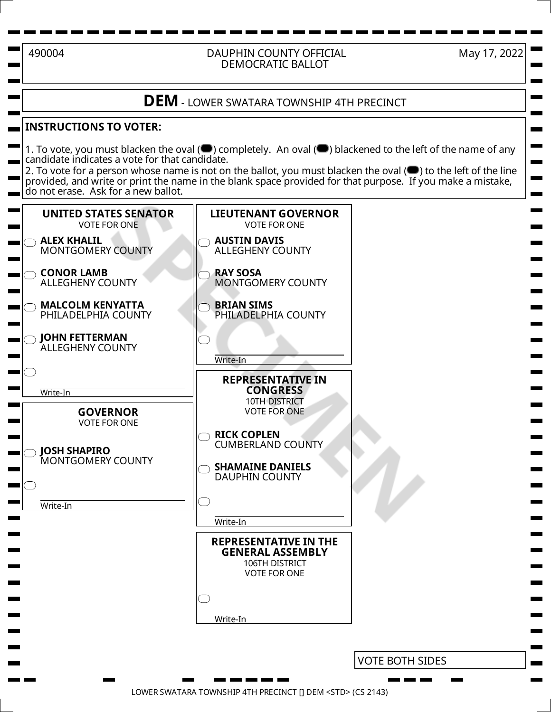## 490004 DAUPHIN COUNTY OFFICIAL DEMOCRATIC BALLOT

May 17, 2022

## **DEM** - LOWER SWATARA TOWNSHIP 4TH PRECINCT

## **INSTRUCTIONS TO VOTER:**

1. To vote, you must blacken the oval  $(\blacksquare)$  completely. An oval  $(\blacksquare)$  blackened to the left of the name of any candidate indicates a vote for that candidate.

2. To vote for a person whose name is not on the ballot, you must blacken the oval ( $\bullet$ ) to the left of the line provided, and write or print the name in the blank space provided for that purpose. If you make a mistake, do not erase. Ask for a new ballot.



VOTE BOTH SIDES